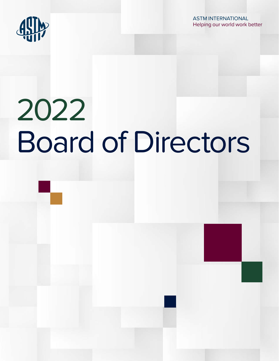

ASTM INTERNATIONAL Helping our world work better

# 2022 Board of Directors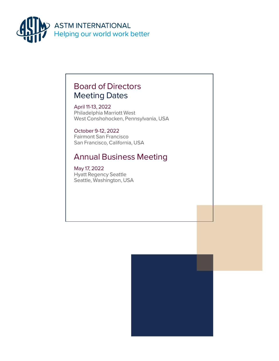

# Board of Directors Meeting Dates

April 11-13, 2022 Philadelphia Marriott West West Conshohocken, Pennsylvania, USA

October 9-12, 2022 Fairmont San Francisco San Francisco, California, USA

# Annual Business Meeting

May 17, 2022 Hyatt Regency Seattle Seattle, Washington, USA

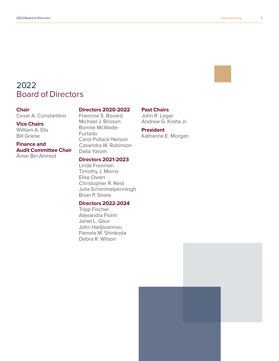

# 2022 Board of Directors

#### **Chair**

Cesar A. Constantino

#### **Vice Chairs**

William A. Ells Bill Griese

## **Finance and Audit Committee Chair**

Amer Bin Ahmed

#### **Directors 2020-2022**

Francine S. Bovard Michael J. Brisson Bonnie McWade-Furtado Carol Pollack-Nelson Casandra W. Robinson Dalia Yarom

#### **Directors 2021-2023**

Linda Freeman Timothy J. Morris Elise Owen Christopher R. Reid Julia Schimmelpenningh Brian P. Shiels

## **Directors 2022-2024**

Tripp Fischer Alexandra Florin Janet L. Gbur John Hadjioannou Pamela M. Shinkoda Debra R. Wilson

## **Past Chairs**

John R. Logar Andrew G. Kireta Jr.

#### **President**

Katharine E. Morgan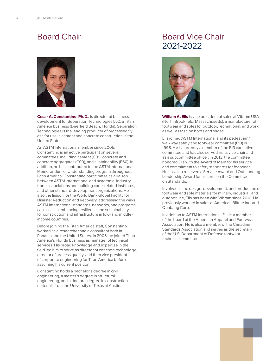# Board Chair



**Cesar A. Constantino, Ph.D.,** is director of business development for Separation Technologies LLC, a Titan America business (Deerfield Beach, Florida). Separation Technologies is the leading producer of processed fly ash for use in cement and concrete construction in the United States.

An ASTM International member since 2005, Constantino is an active participant on several committees, including cement (C01), concrete and concrete aggregates (C09), and sustainability (E60). In addition, he has contributed to the ASTM International Memorandum of Understanding program throughout Latin America. Constantino participates as a liaison between ASTM International and academia, industry trade associations and building code-related institutes, and other standard-development organizations. He is also the liaison for the World Bank Global Facility for Disaster Reduction and Recovery, addressing the ways ASTM International standards, networks, and programs can assist in enhancing resilience and sustainability for construction and infrastructure in low- and middleincome countries.

Before joining the Titan America staff, Constantino worked as a researcher and a consultant both in Panama and the United States. In 2005, he joined Titan America's Florida business as manager of technical services. His broad knowledge and expertise in the field led him to serve as director of concrete technology, director of process quality, and then vice president of corporate engineering for Titan America before assuming his current position.

Constantino holds a bachelor's degree in civil engineering, a master's degree in structural engineering, and a doctoral degree in construction materials from the University of Texas at Austin.

# Board Vice Chair 2021-2022



**William A. Ells** is vice president of sales at Vibram USA (North Brookfield, Massachusetts), a manufacturer of footwear and soles for outdoor, recreational, and work, as well as fashion boots and shoes.

Ells joined ASTM International and its pedestrian/ walkway safety and footwear committee (F13) in 1998. He is currently a member of the F13 executive committee and has also served as its vice chair and as a subcommittee officer. In 2013, the committee honored Ells with the Award of Merit for his service and commitment to safety standards for footwear. He has also received a Service Award and Outstanding Leadership Award for his term on the Committee on Standards.

Involved in the design, development, and production of footwear and sole materials for military, industrial, and outdoor use, Ells has been with Vibram since 2010. He previously worked in sales at American Biltrite Inc. and Quabaug Corp.

In addition to ASTM International, Ells is a member of the board of the American Apparel and Footwear Association. He is also a member of the Canadian Standards Association and serves as the secretary of the U.S. Department of Defense footwear technical committee.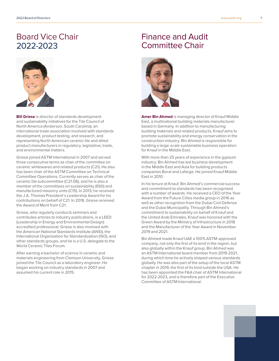# Board Vice Chair 2022-2023



**Bill Griese** is director of standards development and sustainability initiatives for the Tile Council of North America (Anderson, South Carolina), an international trade association involved with standards development, product testing, and research, and representing North American ceramic tile and allied product manufacturers in regulatory, legislative, trade, and environmental matters.

Griese joined ASTM International in 2007 and served three consecutive terms as chair of the committee on ceramic whitewares and related products (C21). He also has been chair of the ASTM Committee on Technical Committee Operations. Currently serves as chair of the ceramic tile subcommittee (C21.06), and he is also a member of the committees on sustainability (E60) and manufactured masonry units (C15). In 2013, he received the J.A. Thomas President's Leadership Award for his contributions on behalf of C21. In 2018, Griese received the Award of Merit from C21.

Griese, who regularly conducts seminars and contributes articles to industry publications, is a LEED (Leadership in Energy and Environmental Design) accredited professional. Griese is also involved with the American National Standards Institute (ANSI), the International Organization for Standardization (ISO), and other standards groups, and he is a U.S. delegate to the World Ceramic Tiles Forum.

After earning a bachelor of science in ceramic and materials engineering from Clemson University, Griese joined the Tile Council as a laboratory engineer. He began working on industry standards in 2007 and assumed his current role in 2015.

## Finance and Audit Committee Chair



**Amer Bin Ahmed** is managing director of Knauf Middle East, a multinational building materials manufacturer based in Germany. In addition to manufacturing building materials and related products, Knauf aims to promote sustainability and energy conservation in the construction industry. Bin Ahmed is responsible for building a large-scale sustainable business operation for Knauf in the Middle East.

With more than 25 years of experience in the gypsum industry, Bin Ahmed has led business development in the Middle East and Asia for building products companies Boral and Lafarge. He joined Knauf Middle East in 2010.

In his tenure at Knauf, Bin Ahmed's commercial success and commitment to standards has been recognized with a number of awards. He received a CEO of the Year Award from the Future Cities media group in 2016 as well as other recognition from the Dubai Civil Defense and the Dubai Municipality. Through Bin Ahmed's commitment to sustainability on behalf of Knauf and the United Arab Emirates, Knauf was honored with the Green Award by the Ministry of Infrastructure in 2018 and the Manufacturer of the Year Award in November 2019 and 2021.

Bin Ahmed made Knauf UAE a 100% ASTM-approved company, not only the first of its kind in the region, but also globally within the Knauf group. Bin Ahmed was an ASTM International board member from 2019-2021, during which time he actively shaped various standards globally. He was also part of the setup of the local ASTM chapter in 2019, the first of its kind outside the USA. He has been appointed the F&A chair of ASTM International for 2022-2023, and is therefore part of the Executive Committee of ASTM International.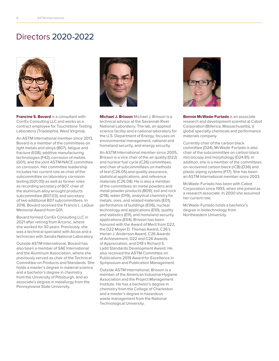# Directors 2020-2022



**Francine S. Bovard** is a consultant with CorrEx Consulting LLC and works as a contract employee for Touchstone Testing Laboratory (Triadelphia, West Virginia).

An ASTM International member since 2013, Bovard is a member of the committees on light metals and alloys (B07), fatigue and fracture (E08), additive manufacturing technologies (F42), corrosion of metals (G01), and the joint ASTM/NACE committee on corrosion. Her committee leadership includes her current role as chair of the subcommittee on laboratory corrosion testing (G01.05) as well as former roles as recording secretary of B07, chair of the aluminum alloy wrought products subcommittee (B07.03), and secretary of two additional B07 subcommittees. In 2016, Bovard received the Francis L. LaQue Memorial Award from G01.

Bovard formed CorrEx Consulting LLC in 2021 after retiring from Arconic, where she worked for 30 years. Previously, she was a technical specialist with Alcoa and a technician with Sandia National Laboratory.

Outside ASTM International, Bovard has also been a member of SAE International and the Aluminum Association, where she previously served as chair of the Technical Committee on Products and Standards. She holds a master's degree in material science and a bachelor's degree in chemistry from the University of Pittsburgh, and an associate's degree in metallurgy from the Pennsylvania State University.



**Michael J. Brisson** Michael J. Brisson is a technical advisor at the Savannah River National Laboratory. The lab, an applied science facility and a national laboratory for the U.S. Department of Energy, focuses on environmental management, national and homeland security, and energy security.

An ASTM International member since 2005, Brisson is a vice chair of the air quality (D22) and nuclear fuel cycle (C26) committees, and chair of subcommittees on methods of test (C26.05) and quality assurance, statistical applications, and reference materials (C26.08). He is also a member of the committees on metal powders and metal powder products (B09), soil and rock (D18), water (D19), analytical chemistry for metals, ores, and related materials (E01), performance of buildings (E06), nuclear technology and applications (E10), quality and statistics (E11), and homeland security applications (E54). Brisson has been honored with the Award of Merit from D22, the D22 Moyer D. Thomas Award, C26's Harlan J. Anderson Award, C26 Awards of Achievement, D22 and C26 Awards of Appreciation, and D18's Richard S. Ladd Standards Development Award. He also received the ASTM Committee on Publications 2019 Award for Excellence in Symposium and Publication Management.

Outside ASTM International, Brisson is a member of the American Industrial Hygiene Association and the Project Management Institute. He has a bachelor's degree in chemistry from the College of Charleston and a master's degree in hazardous waste management from the National Technological University.



**Bonnie McWade-Furtado** is an associate research and development scientist at Cabot Corporation (Billerica, Massachusetts), a global specialty chemicals and performance materials company.

Currently chair of the carbon black committee (D24), McWade-Furtado is also chair of the subcommittee on carbon black microscopy and morphology (D24.81). In addition, she is a member of the committees on recovered carbon black (rCB) (D36) and plastic piping systems (F17). She has been an ASTM International member since 2003.

McWade-Furtado has been with Cabot Corporation since 1993, when she joined as a research associate. In 2000 she assumed her current role.

McWade-Furtado holds a bachelor's degree in biotechnology from Northeastern University.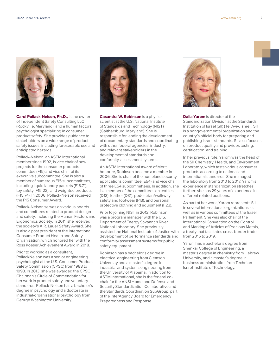

**Carol Pollack-Nelson, Ph.D.,** is the owner of Independent Safety Consulting LLC (Rockville, Maryland), and a human factors psychologist specializing in consumer product safety. She provides guidance to stakeholders on a wide range of product safety issues, including foreseeable use and anticipated hazards.

Pollack-Nelson, an ASTM International member since 1992, is vice chair of new projects for the consumer products committee (F15) and vice chair of its executive subcommittee. She is also a member of numerous F15 subcommittees, including liquid laundry packets (F15.71), toy safety (F15.22), and weighted products (F15.74). In 2006, Pollack-Nelson received the F15 Consumer Award.

Pollack-Nelson serves on various boards and committees related to product design and safety, including the Human Factors and Ergonomics Society. In 2011, she received the society's A.R. Lauer Safety Award. She is also a past president of the International Consumer Product Health and Safety Organization, which honored her with the Ross Koeser Achievement Award in 2018.

Prior to working as a consultant, PollackNelson was a senior engineering psychologist at the U.S. Consumer Product Safety Commission (CPSC) from 1988 to 1993. In 2013, she was awarded the CPSC Chairman's Circle of Commendation for her work in product safety and voluntary standards. Pollack-Nelson has a bachelor's degree in psychology and a doctorate in industrial/organizational psychology from George Washington University.



**Casandra W. Robinson** is a physical scientist at the U.S. National Institute of Standards and Technology (NIST) (Gaithersburg, Maryland). She is responsible for leading the development of documentary standards and coordinating with other federal agencies, industry, and relevant stakeholders in the development of standards and conformity-assessment systems.

An ASTM International Award of Merit honoree, Robinson became a member in 2006. She is chair of the homeland security applications committee (E54) and vice chair of three E54 subcommittees. In addition, she is a member of the committees on textiles (D13), leather (D31), pedestrian/walkway safety and footwear (F13), and personal protective clothing and equipment (F23).

Prior to joining NIST in 2012, Robinson was a program manager with the U.S. Department of Energy Savannah River National Laboratory. She previously assisted the National Institute of Justice with development of performance standards and conformity assessment systems for public safety equipment.

Robinson has a bachelor's degree in electrical engineering from Clemson University and a master's degree in industrial and systems engineering from the University of Alabama. In addition to ASTM International, she is the federal cochair for the ANSI Homeland Defense and Security Standardization Collaborative and the Standards Coordination SubGroup, part of the InterAgency Board for Emergency Preparedness and Response.



**Dalia Yarom** is director of the Standardization Division at the Standards Institution of Israel (SII) (Tel Aviv, Israel). SII is a nongovernmental organization and the country's official body for preparing and publishing Israeli standards. SII also focuses on product quality and provides testing, certification, and training.

In her previous role, Yarom was the head of the SII Chemistry, Health, and Environment Laboratory, which tests various consumer products according to national and international standards. She managed the laboratory from 2010 to 2017. Yarom's experience in standardization stretches further: she has 29 years of experience in different related positions.

As part of her work, Yarom represents SII in several international organizations as well as in various committees of the Israeli Parliament. She was also chair of the International Convention on the Control and Marking of Articles of Precious Metals, a treaty that facilitates cross-border trade, from 2016 to 2019.

Yarom has a bachelor's degree from Shenkar College of Engineering, a master's degree in chemistry from Hebrew University, and a master's degree in business administration from Technion Israel Institute of Technology.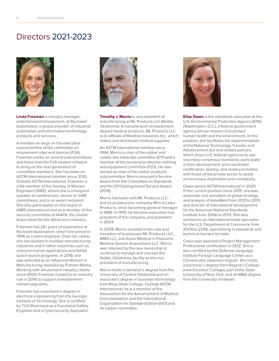# Directors 2021-2023



**Linda Freeman** is industry manager, entertainment/amusement, at Rockwell Automation, a global provider of industrial automation and information technology products and services.

A member-at-large on the executive subcommittee of the committee on amusement rides and devices (F24), Freeman works on several subcommittees and helps lead the F24 student initiative to bring on the next generation of committee members. She has been an ASTM International member since 2010. Outside ASTM International, Freeman is a life member of the Society of Women Engineers (SWE), where she is a frequent speaker at conferences, serves on SWE committees, and is an award recipient. She also participates on the board of AIMS International and as a member of the security committee at IAAPA, the Global Association for the Attractions Industry.

Freeman has 24+ years of experience at Rockwell Automation, which she joined in 1996 as a sales engineer. Over her career she has worked in multiple manufacturing industries and in other industries such as onboard marine applications and NASA space launch programs. In 2018, she was selected as an Influential Women in Manufacturing awardee by Putman Media. Working with amusement industry clients since 2000, Freeman moved to an industry role in 2016 to support entertainment market segments.

Freeman has a bachelor's degree in electrical engineering from the Georgia Institute of Technology. She is certified by TÜV Rheinland as a Functional Safety Engineer and a Cybersecurity Specialist.



**Timothy J. Morris** is vice president of manufacturing at ML Products LLC (Noble, Oklahoma). A manufacturer of elastomeric dipped medical products, ML Products LLC is an affiliate of Medline Industries Inc., which makes and distributes medical supplies.

An ASTM International member since 1994, Morris is chair of the rubber and rubber-like materials committee (D11) and a member of the personal protective clothing and equipment committee (F23). He also served as chair of the rubber products subcommittee. Morris received a Service Award from the Committee on Standards and the D11 Distinguished Service Award (2019).

Morris has been with ML Products LLC, and its predecessor company Morris Latex Products, since becoming general manager in 1986. In 1991, he became executive vice president of the company, and president in 2004.

In 2008, Morris assisted in the sale and transition of businesses ML Products LLC, MMS LLC, and Avion Medical in Poland to Medline Sooner Acquisitions LLC. Morris was retained by the new ownership to continue to manage and oversee the Noble, Oklahoma, facility as the vice president of manufacturing.

Morris holds a bachelor's degree from the University of Central Oklahoma and an associate's degree in business technology from Rose State College. Outside ASTM International, he is a member of the Association for the Advancement of Medical Instrumentation and the International Organization for Standardization (ISO) and its rubber committee.



**Elise Owen** is the standards executive at the U.S. Environmental Protection Agency (EPA) (Washington, D.C.), a federal government agency whose mission is to protect human health and the environment. In this position, she facilitates the implementation of the National Technology Transfer and Advancement Act and related policies, which direct U.S. federal agencies to use voluntary consensus standards, participate in their development, and coordinate certification, testing, and related activities with those of the private sector to avoid unnecessary duplication and complexity.

Owen joined ASTM International in 2020. In her current position since 2015, she was associate vice president of global strategy and analysis of AdvaMed from 2013 to 2015 and director of international development for the American National Standards Institute from 2006 to 2013. She also worked as an international trade specialist for the U.S. Department of Commerce from 2004 to 2006, specializing in standards and technical barriers to trade.

Owen was awarded a Project Management Professional certification in 2012. She is also certified by the Defense Language Institute Foreign Language Center as a Chinese and Japanese linguist. She holds a bachelor's degree from Regent's College (now Excelsior College), part of the State University of New York, and an MBA degree from the University of Hawaii.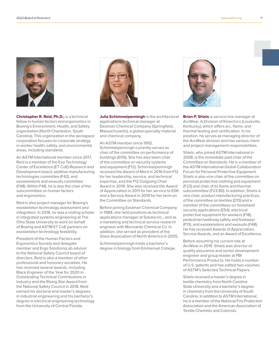

**Christopher R. Reid, Ph.D.,** is a technical fellow in human factors and ergonomics in Boeing's Environment, Health, and Safety organization (North Charleston, South Carolina). This organization in the aerospace corporation focuses on corporate strategy in worker health, safety, and environmental areas, including standards.

An ASTM International member since 2017, Reid is a member of the Exo Technology Center of Excellence (ET CoE) Research and Development board, additive manufacturing technologies committee (F42), and exoskeletons and exosuits committee (F48). Within F48, he is also the chair of the subcommittee on human factors and ergonomics.

Reid is also project manager for Boeing's exoskeleton technology assessment and integration. In 2018, he was a visiting scholar in integrated systems engineering at The Ohio State University to work on behalf of Boeing and ASTM ET CoE partners on exoskeleton technology feasibility.

President of the Human Factors and Ergonomics Society and delegate member and Ergo SolutionsLab advisor to the National Safety Council board of directors, Reid is also a member of other professional and honorary societies. He has received several awards, including Black Engineer of the Year for 2020 in Outstanding Technical Contributions in Industry and the Rising Star Award from the National Safety Council in 2018. Reid earned his doctoral and master's degrees in industrial engineering and his bachelor's degree in electrical engineering technology from the University of Central Florida.



**Julia Schimmelpenningh** is the architectural applications technical manager at Eastman Chemical Company (Springfield, Massachusetts), a global specialty material and chemical company.

An ASTM member since 1992, Schimmelpenningh currently serves as chair of the committee on performance of buildings (E06). She has also been chair of the committee on security systems and equipment (F12). Schimmelpenningh received the Award of Merit in 2016 from F12 for her leadership, service, and technical expertise, and the F12 Outgoing Chair Award in 2018. She also received the Award of Appreciation in 2011 for her service to E06 and a Service Award in 2019 for her term on the Committee on Standards.

Before joining Eastman Chemical Company in 1988, she held positions as technical applications manager at Solutia Inc., and as a marketing and technical service research engineer with Monsanto Chemical Co. In addition, she served as president of the Glass Association of North America in 2005.

Schimmelpenningh holds a bachelor's degree in biology from Emmanuel College.



**Brian P. Shiels** is service line manager at ArcWear, A Division of Kinectrics (Louisville, Kentucky), which offers arc, flame, and thermal testing and certification. In his position, he serves as managing director of the ArcWear division and has various client and project-management responsibilities.

Shiels, who joined ASTM International in 2008, is the immediate past chair of the Committee on Standards. He is a member of the ASTM International Global Collaboration Forum for Personal Protective Equipment. Shiels is also vice chair of the committee on personal protective clothing and equipment (F23) and chair of its flame and thermal subcommittee (F23.80). In addition, Shiels is vice chair, product manufacturing practices, of the committee on textiles (D13) and a member of the committees on homeland security applications (E54), electrical protective equipment for workers (F18), pedestrian/walkway safety and footwear (F13), and exoskeletons and exosuits (F48). He has received Awards of Appreciation, Service Awards, and an Award of Excellence.

Before assuming his current role at ArcWear in 2019, Shiels was director of quality assurance and senior development engineer and group leader at PBI Performance Products. He holds a number of U.S. patents and has edited two volumes of ASTM's Selected Technical Papers.

Shiels received a master's degree in textile chemistry from North Carolina State University and a bachelor's degree in chemistry from the University of South Carolina. In addition to ASTM International, he is a member of the National Fire Protection Association and the American Association of Textile Chemists and Colorists.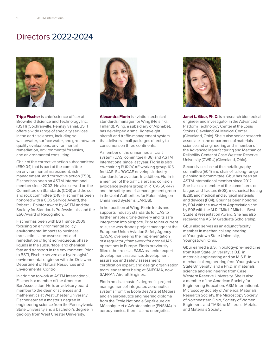# Directors 2022-2024



**Tripp Fischer** is chief science officer at Brownfield Science and Technology Inc. (BSTI) (Cochranville, Pennsylvania). BSTI offers a wide range of specialty services in the earth sciences, including soil, wastewater, surface water, and groundwater quality evaluations, environmental remediation, environmental forensics, and environmental consulting.

Chair of the corrective action subcommittee (E50.04) that is part of the committee on environmental assessment, risk management, and corrective action (E50), Fischer has been an ASTM International member since 2002. He also served on the Committee on Standards (COS) and the soil and rock committee (D18). Fischer has been honored with a COS Service Award, the Robert J. Painter Award by ASTM and the Society for Standards Professionals, and the E50 Award of Recognition.

Fischer has been with BSTI since 2009, focusing on environmental policy, environmental impacts to business transactions, the assessment and remediation of light non-aqueous phase liquids in the subsurface, and chemical fate and transport in the environment. Prior to BSTI, Fischer served as a hydrologist/ environmental engineer with the Delaware Department of Natural Resources and Environmental Control.

In addition to work at ASTM International, Fischer is a member of the American Bar Association. He is an advisory board member to the dean of sciences and mathematics at West Chester University. Fischer earned a master's degree in engineering science from the Pennsylvania State University and a bachelor's degree in geology from West Chester University.



**Alexandra Florin** is aviation technical standards manager for Wing (Helsinki, Finland). Wing, a subsidiary of Alphabet, has developed a small lightweight aircraft and traffic-management system that delivers small packages directly to consumers on three continents.

A member of the unmanned aircraft system (UAS) committee (F38) and ASTM International since last year, Florin is also co-chairing EUROCAE working group 105 for UAS. EUROCAE develops industry standards for aviation. In addition, Florin is a member of the traffic alert and collision avoidance system group in RTCA (SC-147) and the safety and risk management group in the Joint Authorities for Rulemaking on Unmanned Systems (JARUS).

In her position at Wing, Florin leads and supports industry standards for UAS to further enable drone delivery and its safe integration into airspace. Prior to her current role, she was drones project manager at the European Union Aviation Safety Agency (EASA), overseeing the implementation of a regulatory framework for drone/UAS operations in Europe. Florin previously filled other roles at EASA as senior expert development assurance, development assurance and safety assessment certification expert, and design organization team leader after being at SNECMA, now SAFRAN Aircraft Engines.

Florin holds a master's degree in project management of integrated aeronautical systems from the Ecole des Arts et Métiers and an aeronautics engineering diploma from the École Nationale Supérieure de Mécanique et d'Aérotechnique (ENSMA) in aerodynamics, thermic, and energetics.



**Janet L. Gbur, Ph.D.** is a research biomedical engineer and investigator in the Advanced Platform Technology Center at the Louis Stokes Cleveland VA Medical Center (Cleveland, Ohio). She is also senior research associate in the department of materials science and engineering and a member of the Advanced Manufacturing and Mechanical Reliability Center at Case Western Reserve University (CWRU) (Cleveland, Ohio).

Second vice chair of the metallography committee (E04) and chair of its long-range planning subcommittee, Gbur has been an ASTM International member since 2012. She is also a member of the committees on fatigue and fracture (E08), mechanical testing (E28), and medical and surgical materials and devices (F04). Gbur has been honored by E04 with the Award of Appreciation and by E08 with the M.R. "Mitch" Mitchell Best Student Presentation Award. She has also received the ASTM Graduate Scholarship.

Gbur also serves as an adjunct faculty member in mechanical engineering at Youngstown State University, Youngstown, Ohio.

Gbur earned a B.S. in biology/pre-medicine from Kent State University; a B.E. in materials engineering and an M.S.E. in mechanical engineering from Youngstown State University; and a Ph.D. in materials science and engineering from Case Western Reserve University. She is also a member of the American Society for Engineering Education, ASM International, Microscopy Society of America, Materials Research Society, the Microscopy Society of Northeastern Ohio, Society of Women Engineers, and TMS/the Minerals, Metals, and Materials Society.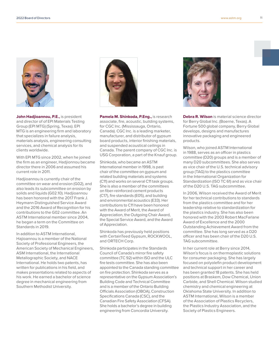

**John Hadjioannou, P.E.,** is president and director of of EPI Materials Testing Group (EPI MTG) (Spring, Texas). EPI MTG is an engineering firm and laboratory that specializes in failure analysis, materials analysis, engineering consulting services, and chemical analysis for its clients worldwide.

With EPI MTG since 2002, when he joined the firm as an engineer, Hadjionnou became director there in 2006 and assumed his current role in 2011.

Hadjioannou is currently chair of the committee on wear and erosion (G02), and also leads its subcommittee on erosion by solids and liquids (G02.10). Hadjioannou has been honored with the 2017 Frank J. Heymann Distinguished Service Award and the 2016 Award of Recognition for his contributions to the G02 committee. An ASTM International member since 2004, he began a term on the Committee on Standards in 2019.

In addition to ASTM International, Hajioannou is a member of the National Society of Professional Engineers, the American Society of Mechanical Engineers, ASM International, the International Metallographic Society, and NACE International. He holds two patents, has written for publications in his field, and makes presentations related to aspects of his work. He earned a bachelor of science degree in mechanical engineering from Southern Methodist University.



**Pamela M. Shinkoda, P.Eng.,** is research associate, fire, acoustic, building systems, for CGC Inc. (Mississauga, Ontario, Canada). CGC Inc. is a leading marketer, manufacturer, and distributor of gypsum board products, interior finishing materials, and suspended acoustical ceilings in Canada. The parent company of CGC Inc. is USG Corporation, a part of the Knauf group.

Shinkoda, who became an ASTM International member in 1998, is past chair of the committee on gypsum and related building materials and systems (C11) and works on several C11 task groups. She is also a member of the committees on fiber-reinforced cement products (C17), fire standards (E05), and building and environmental acoustics (E33). Her contributions to C11 have been honored with the Award of Merit, the Award of Appreciation, the Outgoing Chair Award, the Special Service Award, and the Award of Appreciation.

Shinkoda has previously held positions with CertainTeed Gypsum, ROCKWOOL, and ORTECH Corp.

Shinkoda participates in the Standards Council of Canada's mirror fire safety committee (TC 92) within ISO and the ULC fire tests committee. She has also been appointed to the Canada standing committee on fire protection. Shinkoda serves as a representative on the Gypsum Association's Building Code and Technical Committee and is a member of the Ontario Building Officials Association (OBOA), Construction Specifications Canada (CSC), and the Canadian Fire Safety Association (CFSA). She holds a bachelor's degree in building engineering from Concordia University.



**Debra R. Wilson** is material science director for Berry Global Inc. (Boerne, Texas). A Fortune 500 global company, Berry Global develops, designs and manufactures innovative packaging and engineered products.

Wilson, who joined ASTM International in 1988, serves as an officer in plastics committee (D20) groups and is a member of many D20 subcommittees. She also serves as vice chair of the U.S. technical advisory group (TAG) to the plastics committee in the International Organization for Standardization (ISO TC 61) and as vice chair of the D20 U.S. TAG subcommittee.

In 2006, Wilson received the Award of Merit for her technical contributions to standards from the plastics committee and for her leadership relative to standardization for the plastics industry. She has also been honored with the 2003 Robert MacFarlane Award of Excellence and the 2000 Outstanding Achievement Award from the committee. She has long served as a D20 officer and has been chair of the D20 U.S. TAG subcommittee.

In her current role at Berry since 2014, Wilson's focus is on thermoplastic solutions for consumer packaging. She has largely focused on polyolefin product development and technical support in her career and has been granted 18 patents. She has held positions at Braskem, Dow Chemical, Union Carbide, and Shell Chemical. Wilson studied chemistry and chemical engineering at Oklahoma State University. In addition to ASTM International, Wilson is a member of the Association of Plastics Recyclers, the Plastics Industry Association, and the Society of Plastics Engineers.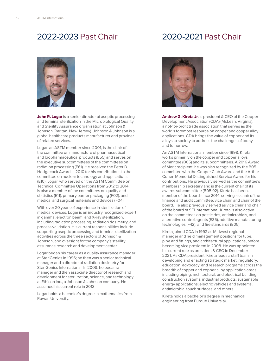## 2022-2023 Past Chair



**John R. Logar** is a senior director of aseptic processing and terminal sterilization in the Microbiological Quality and Sterility Assurance organization at Johnson & Johnson (Raritan, New Jersey). Johnson & Johnson is a global healthcare products manufacturer and provider of related services.

Logar, an ASTM member since 2001, is the chair of the committee on manufacture of pharmaceutical and biopharmaceutical products (E55) and serves on the executive subcommittees of the committees on radiation processing (E61). He received the Peter D. Hedgecock Award in 2010 for his contributions to the committee on nuclear technology and applications (E10). Logar, who served on the ASTM Committee on Technical Committee Operations from 2012 to 2014, is also a member of the committees on quality and statistics (E11), primary barrier packaging (F02), and medical and surgical materials and devices (F04).

With over 20 years of experience in sterilization of medical devices, Logar is an industry recognized expert in gamma, electron beam, and X-ray sterilization, including radiation processing, radiation dosimetry, and process validation. His current responsibilities include supporting aseptic processing and terminal sterilization activities across the three sectors of Johnson & Johnson, and oversight for the company's sterility assurance research and development center.

Logar began his career as a quality assurance manager at SteriGenics in 1996; he then was a senior technical manager and a director of radiation dosimetry for SteriGenics International. In 2008, he became manager and then associate director of research and development for sterilization, science, and technology at Ethicon Inc., a Johnson & Johnson company. He assumed his current role in 2013.

Logar holds a bachelor's degree in mathematics from Rowan University.

## 2020-2021 Past Chair



**Andrew G. Kireta Jr.** is president & CEO of the Copper Development Association (CDA) (McLean, Virginia), a not-for-profit trade association that serves as the world's foremost resource on copper and copper alloy applications. CDA brings the value of copper and its alloys to society to address the challenges of today and tomorrow.

An ASTM International member since 1998, Kireta works primarily on the copper and copper alloys committee (B05) and its subcommittees. A 2016 Award of Merit recipient, he was also recognized by the B05 committee with the Copper Club Award and the Arthur Cohen Memorial Distinguished Service Award for his contributions. He previously served as the committee's membership secretary and is the current chair of its awards subcommittee (B05.92). Kireta has been a member of the board since 2014, serving as chair of the finance and audit committee, vice chair, and chair of the board. He also previously served as vice chair and chair of the board of SEI International. Kireta is also active on the committees on pesticides, antimicrobials, and alternative control agents (E35), additive manufacturing technologies (F42), and fire standards (E05).

Kireta joined CDA in 1992 as Midwest regional manager and held management positions for tube, pipe and fittings, and architectural applications, before becoming vice president in 2008. He was appointed his current role as president & CEO in December 2021. As CDA president, Kireta leads a staff team in developing and enacting strategic market, regulatory, education, advocacy, and research programs across the breadth of copper and copper alloy application areas, including piping, architectural, and electrical building construction systems; industrial products; sustainable energy applications; electric vehicles and systems; antimicrobial touch surfaces; and others.

Kireta holds a bachelor's degree in mechanical engineering from Purdue University.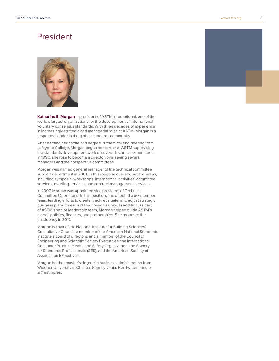## President



**Katharine E. Morgan** is president of ASTM International, one of the world's largest organizations for the development of international voluntary consensus standards. With three decades of experience in increasingly strategic and managerial roles at ASTM, Morgan is a respected leader in the global standards community.

After earning her bachelor's degree in chemical engineering from Lafayette College, Morgan began her career at ASTM supervising the standards development work of several technical committees. In 1990, she rose to become a director, overseeing several managers and their respective committees.

Morgan was named general manager of the technical committee support department in 2001. In this role, she oversaw several areas, including symposia, workshops, international activities, committee services, meeting services, and contract management services.

In 2007, Morgan was appointed vice president of Technical Committee Operations. In this position, she directed a 50-member team, leading efforts to create, track, evaluate, and adjust strategic business plans for each of the division's units. In addition, as part of ASTM's senior leadership team, Morgan helped guide ASTM's overall policies, finances, and partnerships. She assumed the presidency in 2017.

Morgan is chair of the National Institute for Building Sciences' Consultative Council, a member of the American National Standards Institute's board of directors, and a member of the Council of Engineering and Scientific Society Executives, the International Consumer Product Health and Safety Organization, the Society for Standards Professionals (SES), and the American Society of Association Executives.

Morgan holds a master's degree in business administration from Widener University in Chester, Pennsylvania. Her Twitter handle is @astmpres.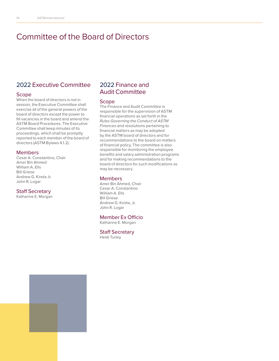## Committee of the Board of Directors

## 2022 Executive Committee

#### Scope

When the board of directors is not in session, the Executive Committee shall exercise all of the general powers of the board of directors except the power to fill vacancies in the board and amend the ASTM Board Procedures. The Executive Committee shall keep minutes of its proceedings, which shall be promptly reported to each member of the board of directors (ASTM Bylaws 4.1.2).

#### Members

Cesar A. Constantino, Chair Amer Bin Ahmed William A. Ells Bill Griese Andrew G. Kireta Jr. John R. Logar

#### Staff Secretary

Katharine E. Morgan

## 2022 Finance and Audit Committee

#### Scope

The Finance and Audit Committee is responsible for the supervision of ASTM financial operations as set forth in the *Rules Governing the Conduct of ASTM Finances* and resolutions pertaining to financial matters as may be adopted by the ASTM board of directors and for recommendations to the board on matters of financial policy. The committee is also responsible for monitoring the employee benefits and salary administration programs and for making recommendations to the board of directors for such modifications as may be necessary.

#### Members

Amer Bin Ahmed, Chair Cesar A. Constantino William A. Ells Bill Griese Andrew G. Kireta, Jr. John R. Logar

#### Member Ex Officio Katharine E. Morgan

#### Staff Secretary Heidi Turley

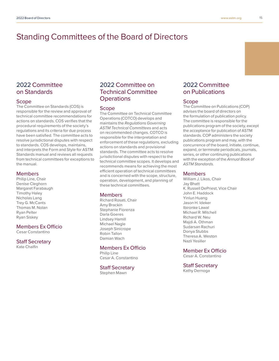## Standing Committees of the Board of Directors

## 2022 Committee on Standards

#### Scope

The Committee on Standards (COS) is responsible for the review and approval of technical committee recommendations for actions on standards. COS verifies that the procedural requirements of the society's regulations and its criteria for due process have been satisfied. The committee acts to resolve jurisdictional disputes with respect to standards. COS develops, maintains, and interprets the Form and Style for ASTM Standards manual and reviews all requests from technical committees for exceptions to the manual.

#### Members

Philip Line, Chair Denise Cleghorn Margaret Farabaugh Timothy Haley Nicholas Lang Trey G. McCants Thomas M. Nolan Ryan Pelter Ryan Siskey

#### Members Ex Officio

Cesar Constantino

#### Staff Secretary

Kate Chalfin

## 2022 Committee on Technical Committee **Operations**

#### **Scope**

The Committee on Technical Committee Operations (COTCO) develops and maintains the *Regulations Governing ASTM Technical Committees* and acts on recommended changes. COTCO is responsible for the interpretation and enforcement of these regulations, excluding actions on standards and provisional standards. The committee acts to resolve jurisdictional disputes with respect to the technical committee scopes. It develops and recommends means for achieving the most efficient operation of technical committees and is concerned with the scope, structure, operation, development, and planning of these technical committees.

#### Members

Richard Rosati, Chair Amy Brackin Stephanie Fiorenza Darla Goeres Lindsey Hamill Michael Nagle Joseph Sinicrope Robin Tallon Damian Wach

#### Members Ex Officio

Philip Line Cesar A. Constantino

#### Staff Secretary

Stephen Mawn

## 2022 Committee on Publications

#### Scope

The Committee on Publications (COP) advises the board of directors on the formulation of publication policy. The committee is responsible for the publications program of the society, except the acceptance for publication of ASTM standards. COP administers the society publications program and may, with the concurrence of the board, initiate, continue, expand, or terminate periodicals, journals, series, or other continuing publications with the exception of the *Annual Book of ASTM Standards*.

#### Members

William J. Likos, Chair Jay Bhatt K. Russell DePriest, Vice Chair John E. Haddock Yinlun Huang Jason H. Ideker Ibironke Lawal Michael R. Mitchell Richard W. Neu Majdi A. Othman Sudarsan Rachuri Donya Stubbs Theresa A. Weston Nazli Yesiller

Member Ex Officio

Cesar A. Constantino

#### Staff Secretary

Kathy Dernoga